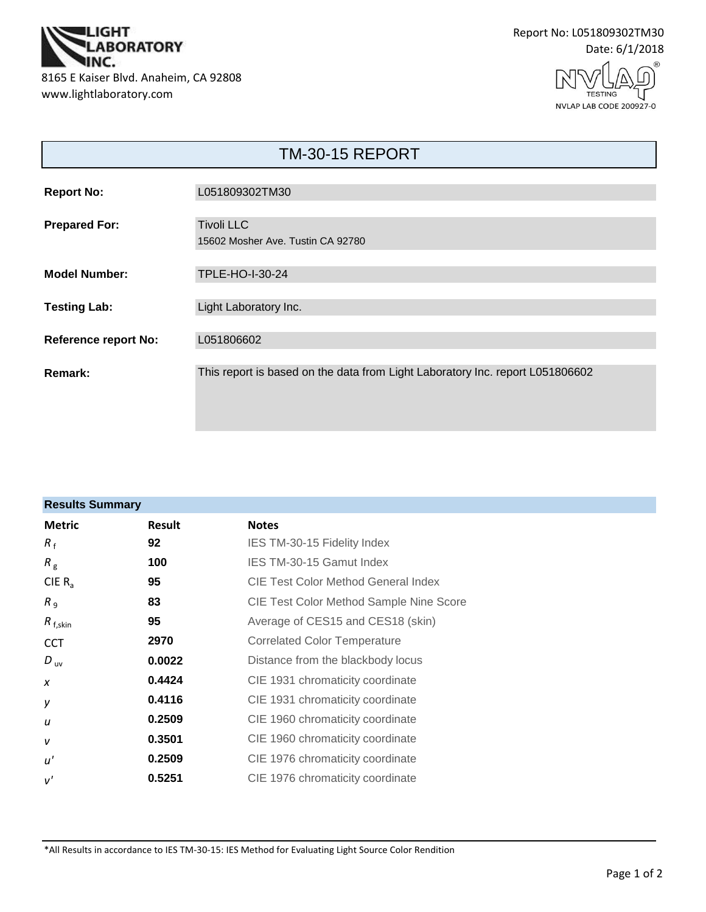



TESTING NVLAP LAB CODE 200927-0

| <b>TM-30-15 REPORT</b>      |                                                                               |  |
|-----------------------------|-------------------------------------------------------------------------------|--|
| <b>Report No:</b>           | L051809302TM30                                                                |  |
| <b>Prepared For:</b>        | <b>Tivoli LLC</b><br>15602 Mosher Ave. Tustin CA 92780                        |  |
| <b>Model Number:</b>        | <b>TPLE-HO-I-30-24</b>                                                        |  |
| <b>Testing Lab:</b>         | Light Laboratory Inc.                                                         |  |
| <b>Reference report No:</b> | L051806602                                                                    |  |
| Remark:                     | This report is based on the data from Light Laboratory Inc. report L051806602 |  |

| <b>Results Summary</b> |        |                                                |  |
|------------------------|--------|------------------------------------------------|--|
| <b>Metric</b>          | Result | <b>Notes</b>                                   |  |
| $R_{f}$                | 92     | IES TM-30-15 Fidelity Index                    |  |
| $R_{\rm g}$            | 100    | IES TM-30-15 Gamut Index                       |  |
| CIE $R_{a}$            | 95     | CIE Test Color Method General Index            |  |
| R <sub>9</sub>         | 83     | <b>CIE Test Color Method Sample Nine Score</b> |  |
| $R_{f,skin}$           | 95     | Average of CES15 and CES18 (skin)              |  |
| <b>CCT</b>             | 2970   | <b>Correlated Color Temperature</b>            |  |
| $D_{\text{uv}}$        | 0.0022 | Distance from the blackbody locus              |  |
| $\boldsymbol{x}$       | 0.4424 | CIE 1931 chromaticity coordinate               |  |
| у                      | 0.4116 | CIE 1931 chromaticity coordinate               |  |
| u                      | 0.2509 | CIE 1960 chromaticity coordinate               |  |
| $\mathsf{V}$           | 0.3501 | CIE 1960 chromaticity coordinate               |  |
| u'                     | 0.2509 | CIE 1976 chromaticity coordinate               |  |
| v'                     | 0.5251 | CIE 1976 chromaticity coordinate               |  |

\*All Results in accordance to IES TM-30-15: IES Method for Evaluating Light Source Color Rendition